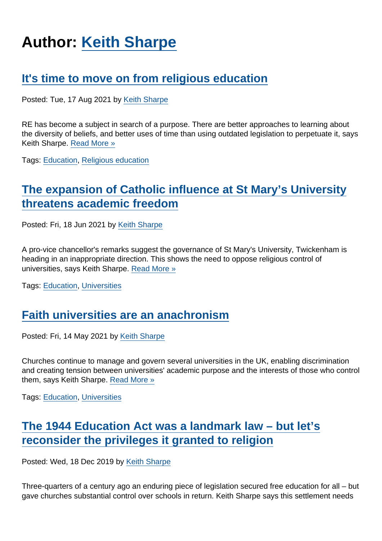# Author: [Keith Sharpe](https://www.secularism.org.uk/opinion/authors/969)

### [It's time to move on from religious education](https://www.secularism.org.uk/opinion/2021/08/its-time-to-move-on-from-religious-education)

Posted: Tue, 17 Aug 2021 by [Keith Sharpe](https://www.secularism.org.uk/opinion/authors/969)

RE has become a subject in search of a purpose. There are better approaches to learning about the diversity of beliefs, and better uses of time than using outdated legislation to perpetuate it, says Keith Sharpe. [Read More »](https://www.secularism.org.uk/opinion/2021/08/its-time-to-move-on-from-religious-education)

Tags: [Education,](https://www.secularism.org.uk/opinion/tags/Education) [Religious education](https://www.secularism.org.uk/opinion/tags/Religious+education)

## [The expansion of Catholic influence at St Mary's University](https://www.secularism.org.uk/opinion/2021/06/the-expansion-of-catholic-influence-at-st-marys-university-threatens-academic-freedom) [threatens academic freedom](https://www.secularism.org.uk/opinion/2021/06/the-expansion-of-catholic-influence-at-st-marys-university-threatens-academic-freedom)

Posted: Fri, 18 Jun 2021 by [Keith Sharpe](https://www.secularism.org.uk/opinion/authors/969)

A pro-vice chancellor's remarks suggest the governance of St Mary's University, Twickenham is heading in an inappropriate direction. This shows the need to oppose religious control of universities, says Keith Sharpe. [Read More »](https://www.secularism.org.uk/opinion/2021/06/the-expansion-of-catholic-influence-at-st-marys-university-threatens-academic-freedom)

Tags: [Education,](https://www.secularism.org.uk/opinion/tags/Education) [Universities](https://www.secularism.org.uk/opinion/tags/Universities)

#### [Faith universities are an anachronism](https://www.secularism.org.uk/opinion/2021/05/faith-universities-are-an-anachronism)

Posted: Fri, 14 May 2021 by [Keith Sharpe](https://www.secularism.org.uk/opinion/authors/969)

Churches continue to manage and govern several universities in the UK, enabling discrimination and creating tension between universities' academic purpose and the interests of those who control them, says Keith Sharpe. [Read More »](https://www.secularism.org.uk/opinion/2021/05/faith-universities-are-an-anachronism)

Tags: [Education,](https://www.secularism.org.uk/opinion/tags/Education) [Universities](https://www.secularism.org.uk/opinion/tags/Universities)

## [The 1944 Education Act was a landmark law – but let's](https://www.secularism.org.uk/opinion/2019/12/the-1944-education-act-was-a-landmark-law-but-lets-reconsider-the-privileges-it-granted-to-religion) [reconsider the privileges it granted to religion](https://www.secularism.org.uk/opinion/2019/12/the-1944-education-act-was-a-landmark-law-but-lets-reconsider-the-privileges-it-granted-to-religion)

Posted: Wed, 18 Dec 2019 by [Keith Sharpe](https://www.secularism.org.uk/opinion/authors/969)

Three-quarters of a century ago an enduring piece of legislation secured free education for all – but gave churches substantial control over schools in return. Keith Sharpe says this settlement needs